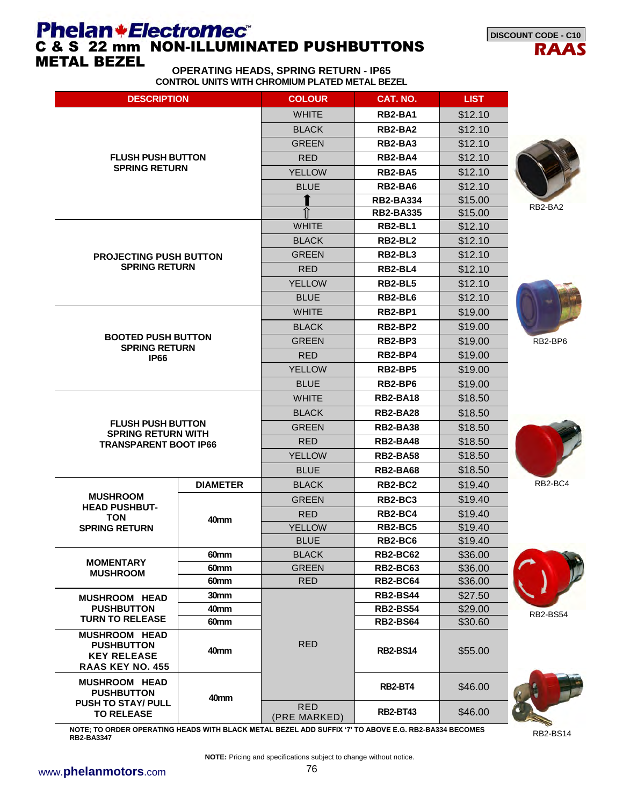# **Phelan+Electromec<sup>®</sup>**<br>C & S 22 mm NON-ILLUMINATED PUSHBUTTONS METAL BEZEL



**OPERATING HEADS, SPRING RETURN - IP65 CONTROL UNITS WITH CHROMIUM PLATED METAL BEZEL** 

| <b>DESCRIPTION</b>                                                                                                           |                  | <b>COLOUR</b>              | CAT. NO.                         | <b>LIST</b> |                 |  |
|------------------------------------------------------------------------------------------------------------------------------|------------------|----------------------------|----------------------------------|-------------|-----------------|--|
|                                                                                                                              |                  | <b>WHITE</b>               | <b>RB2-BA1</b>                   | \$12.10     |                 |  |
|                                                                                                                              |                  | <b>BLACK</b>               | RB2-BA2                          | \$12.10     |                 |  |
|                                                                                                                              |                  | <b>GREEN</b>               | RB2-BA3                          | \$12.10     |                 |  |
| <b>FLUSH PUSH BUTTON</b>                                                                                                     |                  | <b>RED</b>                 | RB2-BA4                          | \$12.10     |                 |  |
| <b>SPRING RETURN</b>                                                                                                         |                  | <b>YELLOW</b>              | RB <sub>2</sub> -BA <sub>5</sub> | \$12.10     |                 |  |
|                                                                                                                              |                  | <b>BLUE</b>                | RB2-BA6                          | \$12.10     |                 |  |
|                                                                                                                              |                  |                            | <b>RB2-BA334</b>                 | \$15.00     |                 |  |
|                                                                                                                              |                  |                            | <b>RB2-BA335</b>                 | \$15.00     | RB2-BA2         |  |
|                                                                                                                              |                  | <b>WHITE</b>               | RB2-BL1                          | \$12.10     |                 |  |
|                                                                                                                              |                  | <b>BLACK</b>               | RB2-BL2                          | \$12.10     |                 |  |
| <b>PROJECTING PUSH BUTTON</b>                                                                                                |                  | <b>GREEN</b>               | RB2-BL3                          | \$12.10     |                 |  |
| <b>SPRING RETURN</b>                                                                                                         |                  | <b>RED</b>                 | RB2-BL4                          | \$12.10     |                 |  |
|                                                                                                                              |                  | <b>YELLOW</b>              | RB2-BL5                          | \$12.10     |                 |  |
|                                                                                                                              |                  | <b>BLUE</b>                | RB2-BL6                          | \$12.10     |                 |  |
|                                                                                                                              |                  | <b>WHITE</b>               | RB2-BP1                          | \$19.00     |                 |  |
|                                                                                                                              |                  | <b>BLACK</b>               | RB2-BP2                          | \$19.00     |                 |  |
| <b>BOOTED PUSH BUTTON</b><br><b>SPRING RETURN</b><br><b>IP66</b>                                                             |                  | <b>GREEN</b>               | RB2-BP3                          | \$19.00     | RB2-BP6         |  |
|                                                                                                                              |                  | <b>RED</b>                 | RB2-BP4                          | \$19.00     |                 |  |
|                                                                                                                              |                  | <b>YELLOW</b>              | RB2-BP5                          | \$19.00     |                 |  |
|                                                                                                                              |                  | <b>BLUE</b>                | RB2-BP6                          | \$19.00     |                 |  |
|                                                                                                                              |                  | <b>WHITE</b>               | <b>RB2-BA18</b>                  | \$18.50     |                 |  |
|                                                                                                                              |                  | <b>BLACK</b>               | <b>RB2-BA28</b>                  | \$18.50     |                 |  |
| <b>FLUSH PUSH BUTTON</b>                                                                                                     |                  | <b>GREEN</b>               | <b>RB2-BA38</b>                  | \$18.50     |                 |  |
| <b>SPRING RETURN WITH</b><br><b>TRANSPARENT BOOT IP66</b>                                                                    |                  | <b>RED</b>                 | <b>RB2-BA48</b>                  | \$18.50     |                 |  |
|                                                                                                                              |                  | <b>YELLOW</b>              | <b>RB2-BA58</b>                  | \$18.50     |                 |  |
|                                                                                                                              |                  | <b>BLUE</b>                | <b>RB2-BA68</b>                  | \$18.50     |                 |  |
|                                                                                                                              | <b>DIAMETER</b>  | <b>BLACK</b>               | RB2-BC2                          | \$19.40     | RB2-BC4         |  |
| <b>MUSHROOM</b>                                                                                                              |                  | <b>GREEN</b>               | RB2-BC3                          | \$19.40     |                 |  |
| <b>HEAD PUSHBUT-</b>                                                                                                         |                  | <b>RED</b>                 | RB2-BC4                          | \$19.40     |                 |  |
| <b>TON</b><br><b>SPRING RETURN</b>                                                                                           | 40 <sub>mm</sub> | <b>YELLOW</b>              | RB2-BC5                          | \$19.40     |                 |  |
|                                                                                                                              |                  | <b>BLUE</b>                | RB2-BC6                          | \$19.40     |                 |  |
|                                                                                                                              | 60mm             | <b>BLACK</b>               | <b>RB2-BC62</b>                  | \$36.00     |                 |  |
| <b>MOMENTARY</b><br><b>MUSHROOM</b>                                                                                          | 60mm             | <b>GREEN</b>               | <b>RB2-BC63</b>                  | \$36.00     |                 |  |
|                                                                                                                              | 60mm             | <b>RED</b>                 | <b>RB2-BC64</b>                  | \$36.00     |                 |  |
| <b>MUSHROOM HEAD</b>                                                                                                         | 30 <sub>mm</sub> |                            | <b>RB2-BS44</b>                  | \$27.50     |                 |  |
| <b>PUSHBUTTON</b><br><b>TURN TO RELEASE</b>                                                                                  | 40mm             |                            | <b>RB2-BS54</b>                  | \$29.00     | <b>RB2-BS54</b> |  |
|                                                                                                                              | 60mm             |                            | <b>RB2-BS64</b>                  |             |                 |  |
| <b>MUSHROOM HEAD</b><br><b>RED</b><br><b>PUSHBUTTON</b><br>40 <sub>mm</sub><br><b>KEY RELEASE</b><br><b>RAAS KEY NO. 455</b> |                  | <b>RB2-BS14</b>            | \$55.00                          |             |                 |  |
| <b>MUSHROOM HEAD</b><br><b>PUSHBUTTON</b>                                                                                    | 40mm             |                            | RB2-BT4                          | \$46.00     |                 |  |
| <b>PUSH TO STAY/ PULL</b><br><b>TO RELEASE</b>                                                                               |                  | <b>RED</b><br>(PRE MARKED) | <b>RB2-BT43</b>                  | \$46.00     |                 |  |

**NOTE; TO ORDER OPERATING HEADS WITH BLACK METAL BEZEL ADD SUFFIX '7' TO ABOVE E.G. RB2-BA334 BECOMES RB2-BA3347**

RB2-BS14

 $\rightarrow$ 

**NOTE:** Pricing and specifications subject to change without notice.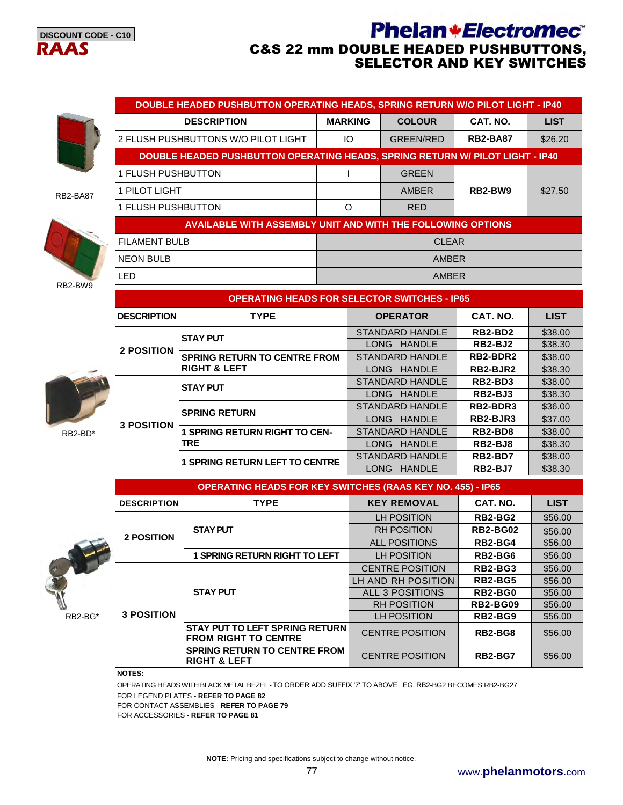

#### **Phelan+Electromec**® C&S 22 mm DOUBLE HEADED PUSHBUTTONS, SELECTOR AND KEY SWITCHES



RB2-BA87



| <b>DOUBLE HEADED PUSHBUTTON OPERATING HEADS, SPRING RETURN W/O PILOT LIGHT - IP40</b> |                |                  |                                  |             |  |  |  |
|---------------------------------------------------------------------------------------|----------------|------------------|----------------------------------|-------------|--|--|--|
| <b>DESCRIPTION</b>                                                                    | <b>MARKING</b> | <b>COLOUR</b>    | CAT. NO.                         | <b>LIST</b> |  |  |  |
| 2 FLUSH PUSHBUTTONS W/O PILOT LIGHT                                                   | IО             | <b>GREEN/RED</b> | <b>RB2-BA87</b>                  | \$26.20     |  |  |  |
| <b>DOUBLE HEADED PUSHBUTTON OPERATING HEADS, SPRING RETURN W/ PILOT LIGHT - IP40</b>  |                |                  |                                  |             |  |  |  |
| 1 FLUSH PUSHBUTTON                                                                    |                | <b>GREEN</b>     |                                  |             |  |  |  |
| 1 PILOT LIGHT                                                                         |                | <b>AMBER</b>     | RB <sub>2</sub> -BW <sub>9</sub> | \$27.50     |  |  |  |
| <b>1 FLUSH PUSHBUTTON</b>                                                             | $\Omega$       | <b>RED</b>       |                                  |             |  |  |  |
| <b>AVAILABLE WITH ASSEMBLY UNIT AND WITH THE FOLLOWING OPTIONS</b>                    |                |                  |                                  |             |  |  |  |
| <b>FILAMENT BULB</b>                                                                  | <b>CLEAR</b>   |                  |                                  |             |  |  |  |
| <b>NEON BULB</b>                                                                      | <b>AMBER</b>   |                  |                                  |             |  |  |  |
| LED                                                                                   |                | <b>AMBER</b>     |                                  |             |  |  |  |

|         | <b>DESCRIPTION</b> | <b>TYPE</b>                         | <b>OPERATOR</b>              | CAT. NO.       | <b>LIST</b> |
|---------|--------------------|-------------------------------------|------------------------------|----------------|-------------|
|         |                    | <b>STAY PUT</b>                     | STANDARD HANDLE              | RB2-BD2        | \$38.00     |
|         | 2 POSITION         |                                     | <b>HANDLE</b><br><b>LONG</b> | RB2-BJ2        | \$38.30     |
|         |                    | <b>SPRING RETURN TO CENTRE FROM</b> | <b>STANDARD HANDLE</b>       | RB2-BDR2       | \$38.00     |
|         |                    | <b>RIGHT &amp; LEFT</b>             | <b>HANDLE</b><br>LONG        | RB2-BJR2       | \$38.30     |
|         |                    | <b>STAY PUT</b>                     | STANDARD HANDLE              | RB2-BD3        | \$38.00     |
|         |                    |                                     | <b>HANDLE</b><br>LONG        | RB2-BJ3        | \$38.30     |
|         |                    | <b>SPRING RETURN</b>                | STANDARD HANDLE              | RB2-BDR3       | \$36.00     |
|         | <b>3 POSITION</b>  |                                     | <b>HANDLE</b><br>LONG.       | RB2-BJR3       | \$37.00     |
| RB2-BD* |                    | <b>SPRING RETURN RIGHT TO CEN-</b>  | <b>STANDARD HANDLE</b>       | RB2-BD8        | \$38.00     |
|         |                    | <b>TRE</b>                          | <b>HANDLE</b><br>LONG        | RB2-BJ8        | \$38.30     |
|         |                    | <b>SPRING RETURN LEFT TO CENTRE</b> | <b>STANDARD HANDLE</b>       | RB2-BD7        | \$38.00     |
|         |                    |                                     | <b>LONG</b><br><b>HANDLE</b> | <b>RB2-BJ7</b> | \$38.30     |

|         | <b>OPERATING HEADS FOR KEY SWITCHES (RAAS KEY NO. 455) - IP65</b> |                                                                      |                        |                 |             |  |  |  |
|---------|-------------------------------------------------------------------|----------------------------------------------------------------------|------------------------|-----------------|-------------|--|--|--|
|         | <b>TYPE</b><br><b>DESCRIPTION</b>                                 |                                                                      | <b>KEY REMOVAL</b>     | CAT. NO.        | <b>LIST</b> |  |  |  |
|         |                                                                   |                                                                      | LH POSITION            | RB2-BG2         | \$56.00     |  |  |  |
|         |                                                                   | <b>STAY PUT</b>                                                      | <b>RH POSITION</b>     | <b>RB2-BG02</b> | \$56.00     |  |  |  |
|         | <b>2 POSITION</b>                                                 |                                                                      | <b>ALL POSITIONS</b>   | RB2-BG4         | \$56.00     |  |  |  |
|         |                                                                   | <b>1 SPRING RETURN RIGHT TO LEFT</b>                                 | <b>LH POSITION</b>     | RB2-BG6         | \$56.00     |  |  |  |
|         |                                                                   |                                                                      | <b>CENTRE POSITION</b> | RB2-BG3         | \$56.00     |  |  |  |
|         |                                                                   |                                                                      | LH AND RH POSITION     | RB2-BG5         | \$56.00     |  |  |  |
|         |                                                                   | <b>STAY PUT</b>                                                      | ALL 3 POSITIONS        | RB2-BG0         | \$56.00     |  |  |  |
|         |                                                                   |                                                                      | <b>RH POSITION</b>     | RB2-BG09        | \$56.00     |  |  |  |
| RB2-BG* | <b>3 POSITION</b>                                                 |                                                                      | LH POSITION            | RB2-BG9         | \$56.00     |  |  |  |
|         |                                                                   | <b>STAY PUT TO LEFT SPRING RETURN</b><br><b>FROM RIGHT TO CENTRE</b> | <b>CENTRE POSITION</b> | RB2-BG8         | \$56.00     |  |  |  |
|         |                                                                   | <b>SPRING RETURN TO CENTRE FROM</b><br><b>RIGHT &amp; LEFT</b>       | <b>CENTRE POSITION</b> | <b>RB2-BG7</b>  | \$56.00     |  |  |  |

#### **NOTES:**

OPERATING HEADS WITH BLACK METAL BEZEL - TO ORDER ADD SUFFIX '7' TO ABOVE EG. RB2-BG2 BECOMES RB2-BG27 FOR LEGEND PLATES - **REFER TO PAGE 82**

FOR CONTACT ASSEMBLIES - **REFER TO PAGE 79**

FOR ACCESSORIES - **REFER TO PAGE 81**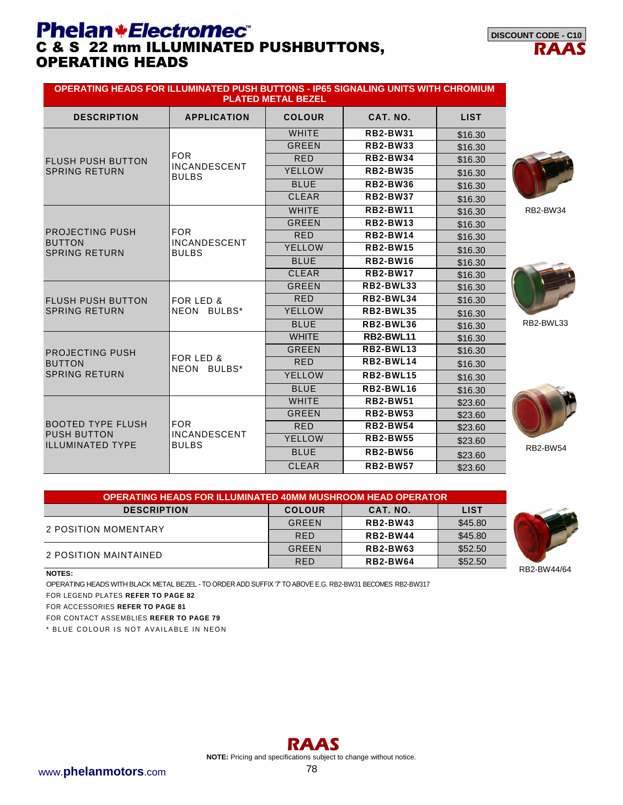# **Phelan+Electromec<sup>®</sup>**<br>C & S 22 mm ILLUMINATED PUSHBUTTONS, OPERATING HEADS



| OPERATING HEADS FOR ILLUMINATED PUSH BUTTONS - IP65 SIGNALING UNITS WITH CHROMIUM |                                     | <b>PLATED METAL BEZEL</b> |                  |             |                 |
|-----------------------------------------------------------------------------------|-------------------------------------|---------------------------|------------------|-------------|-----------------|
| <b>DESCRIPTION</b>                                                                | <b>APPLICATION</b>                  | <b>COLOUR</b>             | CAT. NO.         | <b>LIST</b> |                 |
|                                                                                   |                                     | <b>WHITE</b>              | <b>RB2-BW31</b>  | \$16.30     |                 |
|                                                                                   |                                     | <b>GREEN</b>              | <b>RB2-BW33</b>  | \$16.30     |                 |
| <b>FLUSH PUSH BUTTON</b>                                                          | <b>FOR</b>                          | <b>RED</b>                | <b>RB2-BW34</b>  | \$16.30     |                 |
| <b>SPRING RETURN</b>                                                              | <b>INCANDESCENT</b><br><b>BULBS</b> | <b>YELLOW</b>             | <b>RB2-BW35</b>  | \$16.30     |                 |
|                                                                                   |                                     | <b>BLUE</b>               | <b>RB2-BW36</b>  | \$16.30     |                 |
|                                                                                   |                                     | <b>CLEAR</b>              | <b>RB2-BW37</b>  | \$16.30     |                 |
|                                                                                   |                                     | <b>WHITE</b>              | <b>RB2-BW11</b>  | \$16.30     | <b>RB2-BW34</b> |
|                                                                                   |                                     | <b>GREEN</b>              | <b>RB2-BW13</b>  | \$16.30     |                 |
| <b>PROJECTING PUSH</b>                                                            | <b>FOR</b>                          | <b>RED</b>                | <b>RB2-BW14</b>  | \$16.30     |                 |
| <b>BUTTON</b><br><b>SPRING RETURN</b>                                             | <b>INCANDESCENT</b><br><b>BULBS</b> | <b>YELLOW</b>             | <b>RB2-BW15</b>  | \$16.30     |                 |
|                                                                                   |                                     | <b>BLUE</b>               | <b>RB2-BW16</b>  | \$16.30     |                 |
|                                                                                   |                                     | <b>CLEAR</b>              | <b>RB2-BW17</b>  | \$16.30     |                 |
|                                                                                   |                                     | <b>GREEN</b>              | <b>RB2-BWL33</b> | \$16.30     |                 |
| <b>FLUSH PUSH BUTTON</b>                                                          | FOR LED &                           | <b>RED</b>                | <b>RB2-BWL34</b> | \$16.30     |                 |
| <b>SPRING RETURN</b>                                                              | NEON BULBS*                         | <b>YELLOW</b>             | <b>RB2-BWL35</b> | \$16.30     |                 |
|                                                                                   |                                     | <b>BLUE</b>               | <b>RB2-BWL36</b> | \$16.30     | RB2-BWL33       |
|                                                                                   |                                     | <b>WHITE</b>              | RB2-BWL11        | \$16.30     |                 |
| <b>PROJECTING PUSH</b>                                                            |                                     | <b>GREEN</b>              | <b>RB2-BWL13</b> | \$16.30     |                 |
| <b>BUTTON</b>                                                                     | FOR LED &<br>NEON BULBS*            | <b>RED</b>                | RB2-BWL14        | \$16.30     |                 |
| <b>SPRING RETURN</b>                                                              |                                     | <b>YELLOW</b>             | <b>RB2-BWL15</b> | \$16.30     |                 |
|                                                                                   |                                     | <b>BLUE</b>               | <b>RB2-BWL16</b> | \$16.30     |                 |
|                                                                                   |                                     | <b>WHITE</b>              | <b>RB2-BW51</b>  | \$23.60     |                 |
| <b>BOOTED TYPE FLUSH</b>                                                          |                                     | <b>GREEN</b>              | <b>RB2-BW53</b>  | \$23.60     |                 |
|                                                                                   | <b>FOR</b>                          | <b>RED</b>                | <b>RB2-BW54</b>  | \$23.60     |                 |
| <b>PUSH BUTTON</b><br><b>ILLUMINATED TYPE</b>                                     | <b>INCANDESCENT</b><br><b>BULBS</b> | <b>YELLOW</b>             | <b>RB2-BW55</b>  | \$23.60     |                 |
|                                                                                   |                                     | <b>BLUE</b>               | <b>RB2-BW56</b>  | \$23.60     | <b>RB2-BW54</b> |
|                                                                                   |                                     | <b>CLEAR</b>              | <b>RB2-BW57</b>  | \$23.60     |                 |



| <b>OPERATING HEADS FOR ILLUMINATED 40MM MUSHROOM HEAD OPERATOR</b> |               |                 |             |  |  |  |
|--------------------------------------------------------------------|---------------|-----------------|-------------|--|--|--|
| <b>DESCRIPTION</b>                                                 | <b>COLOUR</b> | CAT. NO.        | <b>LIST</b> |  |  |  |
| 2 POSITION MOMENTARY                                               | GREEN         | <b>RB2-BW43</b> | \$45.80     |  |  |  |
|                                                                    | <b>RED</b>    | <b>RB2-BW44</b> | \$45.80     |  |  |  |
| 2 POSITION MAINTAINED                                              | GREEN         | <b>RB2-BW63</b> | \$52.50     |  |  |  |
|                                                                    | <b>RED</b>    | <b>RB2-BW64</b> | \$52.50     |  |  |  |



**NOTES:** 

OPERATING HEADS WITH BLACK METAL BEZEL - TO ORDER ADD SUFFIX '7' TO ABOVE E.G. RB2-BW31 BECOMES RB2-BW317

FOR LEGEND PLATES **REFER TO PAGE 82**

FOR ACCESSORIES **REFER TO PAGE 81**

FOR CONTACT ASSEMBLIES **REFER TO PAGE 79**

\* BLUE COLOUR IS NOT AVAILABLE IN NEON

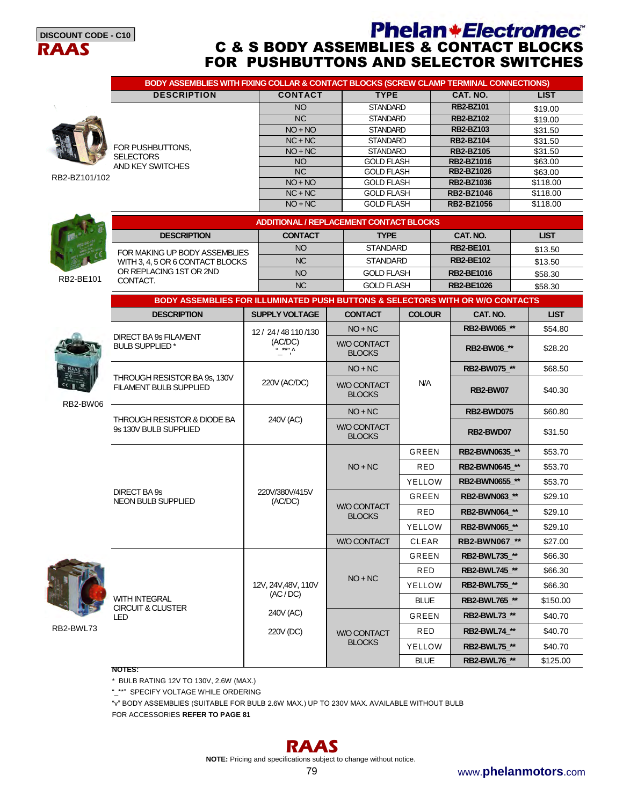

### **Phelan+Electromec**® C & S BODY ASSEMBLIES & CONTACT BLOCKS FOR PUSHBUTTONS AND SELECTOR SWITCHES

|               | BODY ASSEMBLIES WITH FIXING COLLAR & CONTACT BLOCKS (SCREW CLAMP TERMINAL CONNECTIONS) |                                                |  |                                      |               |                                       |             |                    |  |  |
|---------------|----------------------------------------------------------------------------------------|------------------------------------------------|--|--------------------------------------|---------------|---------------------------------------|-------------|--------------------|--|--|
|               | <b>DESCRIPTION</b>                                                                     | <b>CONTACT</b>                                 |  | <b>TYPE</b>                          |               | CAT. NO.                              |             | <b>LIST</b>        |  |  |
|               |                                                                                        | <b>NO</b>                                      |  | <b>STANDARD</b>                      |               | <b>RB2-BZ101</b>                      |             | \$19.00            |  |  |
|               |                                                                                        | <b>NC</b>                                      |  | <b>STANDARD</b>                      |               | <b>RB2-BZ102</b>                      |             | \$19.00            |  |  |
|               |                                                                                        | $NO + NO$                                      |  | <b>STANDARD</b>                      |               | <b>RB2-BZ103</b>                      |             | \$31.50            |  |  |
|               | FOR PUSHBUTTONS,                                                                       | $NC + NC$                                      |  | <b>STANDARD</b>                      |               | <b>RB2-BZ104</b>                      |             | \$31.50            |  |  |
|               | <b>SELECTORS</b>                                                                       | $NO + NC$<br><b>NO</b>                         |  | <b>STANDARD</b><br><b>GOLD FLASH</b> |               | <b>RB2-BZ105</b><br><b>RB2-BZ1016</b> |             | \$31.50<br>\$63.00 |  |  |
|               | AND KEY SWITCHES                                                                       | NC                                             |  | <b>GOLD FLASH</b>                    |               | RB2-BZ1026                            |             | \$63.00            |  |  |
| RB2-BZ101/102 |                                                                                        | $NO + NO$                                      |  | <b>GOLD FLASH</b>                    |               | <b>RB2-BZ1036</b>                     |             | \$118.00           |  |  |
|               |                                                                                        | $NC + NC$                                      |  | <b>GOLD FLASH</b>                    |               | <b>RB2-BZ1046</b>                     |             | \$118.00           |  |  |
|               |                                                                                        | $NO + NC$                                      |  | <b>GOLD FLASH</b>                    |               | <b>RB2-BZ1056</b>                     |             | \$118.00           |  |  |
|               |                                                                                        | <b>ADDITIONAL / REPLACEMENT CONTACT BLOCKS</b> |  |                                      |               |                                       |             |                    |  |  |
|               | <b>DESCRIPTION</b>                                                                     | <b>CONTACT</b>                                 |  | <b>TYPE</b>                          |               | CAT. NO.                              |             | <b>LIST</b>        |  |  |
|               | FOR MAKING UP BODY ASSEMBLIES                                                          | <b>NO</b>                                      |  | <b>STANDARD</b>                      |               | <b>RB2-BE101</b>                      |             | \$13.50            |  |  |
|               | WITH 3, 4, 5 OR 6 CONTACT BLOCKS                                                       | <b>NC</b>                                      |  | <b>STANDARD</b>                      |               | <b>RB2-BE102</b>                      |             | \$13.50            |  |  |
|               | OR REPLACING 1ST OR 2ND                                                                | <b>NO</b>                                      |  | <b>GOLD FLASH</b>                    |               | <b>RB2-BE1016</b>                     |             | \$58.30            |  |  |
| RB2-BE101     | CONTACT.                                                                               | <b>NC</b>                                      |  | <b>GOLD FLASH</b>                    |               | <b>RB2-BE1026</b>                     |             | \$58.30            |  |  |
|               | BODY ASSEMBLIES FOR ILLUMINATED PUSH BUTTONS & SELECTORS WITH OR W/O CONTACTS          |                                                |  |                                      |               |                                       |             |                    |  |  |
|               | <b>DESCRIPTION</b>                                                                     | <b>SUPPLY VOLTAGE</b>                          |  | <b>CONTACT</b>                       | <b>COLOUR</b> | CAT. NO.                              |             | <b>LIST</b>        |  |  |
|               |                                                                                        | 12 / 24 / 48 110 / 130                         |  | $NO + NC$                            |               | RB2-BW065 **                          |             | \$54.80            |  |  |
|               | <b>DIRECT BA 9s FILAMENT</b><br><b>BULB SUPPLIED*</b>                                  | (AC/DC)<br>$\sum_{n=1}^{\infty}$               |  | W/O CONTACT<br><b>BLOCKS</b>         |               |                                       | RB2-BW06 ** |                    |  |  |
|               |                                                                                        |                                                |  | $NO + NC$                            |               | RB2-BW075 **                          |             | \$68.50            |  |  |
|               | THROUGH RESISTOR BA 9s, 130V<br><b>FILAMENT BULB SUPPLIED</b>                          | 220V (AC/DC)                                   |  | W/O CONTACT<br><b>BLOCKS</b>         | N/A           | RB2-BW07                              |             |                    |  |  |
| RB2-BW06      |                                                                                        |                                                |  | $NO + NC$                            |               | <b>RB2-BWD075</b>                     |             | \$60.80            |  |  |
|               | THROUGH RESISTOR & DIODE BA<br>9s 130V BULB SUPPLIED                                   | 240V (AC)                                      |  | <b>W/O CONTACT</b><br><b>BLOCKS</b>  |               | RB2-BWD07                             |             | \$31.50            |  |  |
|               |                                                                                        |                                                |  |                                      | GREEN         | RB2-BWN0635 **                        |             | \$53.70            |  |  |
|               |                                                                                        |                                                |  | $NO + NC$                            | <b>RED</b>    | RB2-BWN0645 **                        |             | \$53.70            |  |  |
|               |                                                                                        |                                                |  |                                      |               | YELLOW<br>RB2-BWN0655 **              |             | \$53.70            |  |  |
|               | DIRECT BA 9s<br><b>NEON BULB SUPPLIED</b>                                              | 220V/380V/415V<br>(AC/DC)                      |  |                                      | GREEN         | RB2-BWN063 **                         |             | \$29.10            |  |  |
|               |                                                                                        |                                                |  | <b>W/O CONTACT</b><br><b>BLOCKS</b>  | RED           | <b>RB2-BWN064 **</b>                  |             | \$29.10            |  |  |
|               |                                                                                        |                                                |  |                                      | YELLOW        | RB2-BWN065 **                         |             | \$29.10            |  |  |
|               |                                                                                        |                                                |  | <b>W/O CONTACT</b>                   | CLEAR         | RB2-BWN067_**                         |             | \$27.00            |  |  |
|               |                                                                                        |                                                |  |                                      | GREEN         | RB2-BWL735_**                         |             | \$66.30            |  |  |
|               |                                                                                        |                                                |  | $NO + NC$                            | RED           | RB2-BWL745_**                         |             | \$66.30            |  |  |
|               |                                                                                        | 12V, 24V, 48V, 110V                            |  |                                      | YELLOW        | RB2-BWL755_**                         |             | \$66.30            |  |  |
|               | WITH INTEGRAL<br><b>CIRCUIT &amp; CLUSTER</b>                                          | (AC/DC)                                        |  |                                      | <b>BLUE</b>   | RB2-BWL765_**                         |             | \$150.00           |  |  |
|               | LED                                                                                    | 240V (AC)                                      |  |                                      | GREEN         | RB2-BWL73 **                          |             | \$40.70            |  |  |
| RB2-BWL73     |                                                                                        | 220V (DC)                                      |  | W/O CONTACT                          | RED           | RB2-BWL74_**                          |             | \$40.70            |  |  |
|               |                                                                                        |                                                |  | <b>BLOCKS</b>                        | YELLOW        | <b>RB2-BWL75_**</b>                   |             | \$40.70            |  |  |
|               | NOTES:                                                                                 |                                                |  |                                      | <b>BLUE</b>   | <b>RB2-BWL76_**</b>                   |             | \$125.00           |  |  |
|               |                                                                                        |                                                |  |                                      |               |                                       |             |                    |  |  |

\* BULB RATING 12V TO 130V, 2.6W (MAX.)

"\_\*\*" SPECIFY VOLTAGE WHILE ORDERING

"v" BODY ASSEMBLIES (SUITABLE FOR BULB 2.6W MAX.) UP TO 230V MAX. AVAILABLE WITHOUT BULB

FOR ACCESSORIES **REFER TO PAGE 81**



**NOTE:** Pricing and specifications subject to change without notice.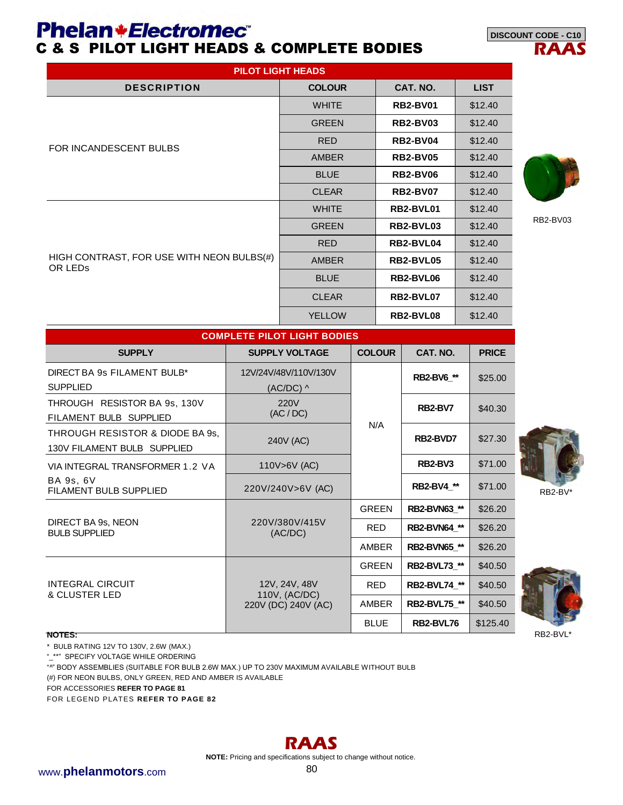### **Phelan+Electromec** C & S PILOT LIGHT HEADS & COMPLETE BODIES



|                                                                  |  | <b>PILOT LIGHT HEADS</b>             |  |                   |                     |  |              |
|------------------------------------------------------------------|--|--------------------------------------|--|-------------------|---------------------|--|--------------|
| <b>DESCRIPTION</b>                                               |  | <b>COLOUR</b>                        |  |                   | CAT. NO.            |  | <b>LIST</b>  |
|                                                                  |  | <b>WHITE</b>                         |  | <b>RB2-BV01</b>   |                     |  | \$12.40      |
|                                                                  |  | <b>GREEN</b>                         |  |                   | <b>RB2-BV03</b>     |  | \$12.40      |
|                                                                  |  | <b>RED</b>                           |  |                   | <b>RB2-BV04</b>     |  | \$12.40      |
| FOR INCANDESCENT BULBS                                           |  | <b>AMBER</b>                         |  |                   | <b>RB2-BV05</b>     |  | \$12.40      |
|                                                                  |  | <b>BLUE</b>                          |  |                   | <b>RB2-BV06</b>     |  | \$12.40      |
|                                                                  |  | <b>CLEAR</b>                         |  |                   | <b>RB2-BV07</b>     |  | \$12.40      |
|                                                                  |  | <b>WHITE</b>                         |  |                   | RB2-BVL01           |  | \$12.40      |
|                                                                  |  | <b>GREEN</b>                         |  |                   | RB2-BVL03           |  | \$12.40      |
|                                                                  |  | <b>RED</b>                           |  |                   | RB2-BVL04           |  | \$12.40      |
| HIGH CONTRAST, FOR USE WITH NEON BULBS(#)<br>OR LED <sub>s</sub> |  | <b>AMBER</b>                         |  |                   | RB2-BVL05           |  | \$12.40      |
|                                                                  |  | <b>BLUE</b>                          |  |                   | RB2-BVL06           |  | \$12.40      |
|                                                                  |  | <b>CLEAR</b>                         |  |                   | RB2-BVL07           |  | \$12.40      |
|                                                                  |  | <b>YELLOW</b>                        |  | RB2-BVL08         |                     |  | \$12.40      |
| <b>COMPLETE PILOT LIGHT BODIES</b>                               |  |                                      |  |                   |                     |  |              |
| <b>SUPPLY</b>                                                    |  | <b>SUPPLY VOLTAGE</b>                |  | <b>COLOUR</b>     | CAT. NO.            |  | <b>PRICE</b> |
| DIRECT BA 9s FILAMENT BULB*<br><b>SUPPLIED</b>                   |  | 12V/24V/48V/110V/130V<br>$(AC/DC)$ ^ |  | <b>RB2-BV6 **</b> |                     |  | \$25.00      |
| THROUGH RESISTOR BA 9s, 130V<br>FILAMENT BULB SUPPLIED           |  | <b>220V</b><br>(AC/DC)               |  |                   | RB2-BV7             |  | \$40.30      |
| THROUGH RESISTOR & DIODE BA 9s,<br>130V FILAMENT BULB SUPPLIED   |  | 240V (AC)                            |  | N/A<br>RB2-BVD7   |                     |  | \$27.30      |
| VIA INTEGRAL TRANSFORMER 1.2 VA                                  |  | 110V>6V (AC)                         |  |                   | <b>RB2-BV3</b>      |  | \$71.00      |
| BA 9s, 6V<br>FILAMENT BULB SUPPLIED                              |  | 220V/240V>6V (AC)                    |  | RB2-BV4_**        |                     |  | \$71.00      |
|                                                                  |  |                                      |  | <b>GREEN</b>      | <b>RB2-BVN63_**</b> |  | \$26.20      |
| DIRECT BA 9s, NEON<br><b>BULB SUPPLIED</b>                       |  | 220V/380V/415V<br>(AC/DC)            |  | <b>RED</b>        | RB2-BVN64_**        |  | \$26.20      |
|                                                                  |  |                                      |  | AMBER             | RB2-BVN65_**        |  | \$26.20      |
|                                                                  |  |                                      |  | <b>GREEN</b>      | RB2-BVL73_**        |  | \$40.50      |
| <b>INTEGRAL CIRCUIT</b>                                          |  | 12V, 24V, 48V                        |  | RED               | RB2-BVL74_**        |  | \$40.50      |
| & CLUSTER LED                                                    |  | 110V, (AC/DC)<br>220V (DC) 240V (AC) |  | AMBER             | RB2-BVL75 **        |  | \$40.50      |
|                                                                  |  |                                      |  | <b>BLUE</b>       | RB2-BVL76           |  | \$125.40     |

RB2-BVL\*

**NOTES:** 

\* BULB RATING 12V TO 130V, 2.6W (MAX.)

"\_\*\*" SPECIFY VOLTAGE WHILE ORDERING

"^" BODY ASSEMBLIES (SUITABLE FOR BULB 2.6W MAX.) UP TO 230V MAXIMUM AVAILABLE WITHOUT BULB

(#) FOR NEON BULBS, ONLY GREEN, RED AND AMBER IS AVAILABLE

FOR ACCESSORIES **REFER TO PAGE 81**

FOR LEGEND PLATES **REFER TO PAGE 82**



**NOTE:** Pricing and specifications subject to change without notice.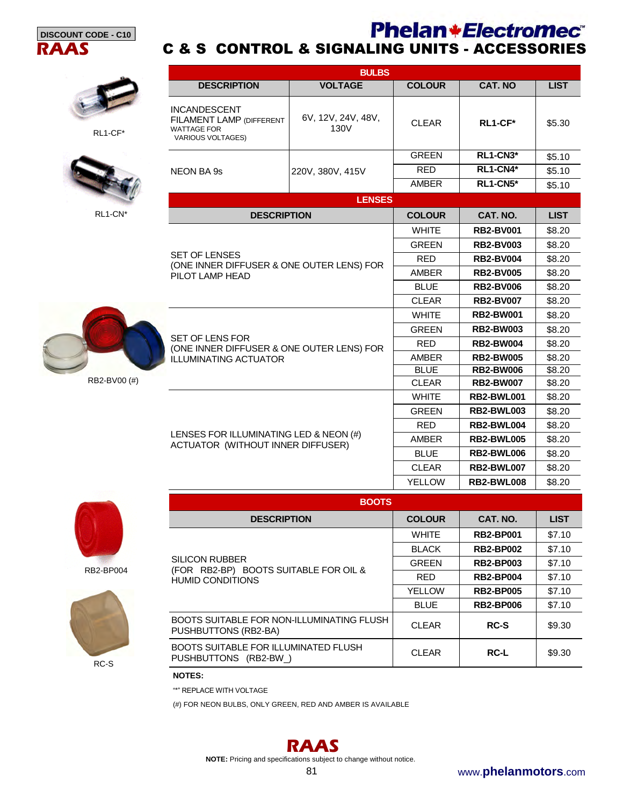



RL1-CF\*



RL1-CN<sup>\*</sup>

RB2-BV00 (#)

|                                                                                                          | <b>BULBS</b>               |               |                   |             |  |  |  |
|----------------------------------------------------------------------------------------------------------|----------------------------|---------------|-------------------|-------------|--|--|--|
| <b>DESCRIPTION</b>                                                                                       | <b>VOLTAGE</b>             | <b>COLOUR</b> | <b>CAT. NO</b>    | <b>LIST</b> |  |  |  |
| <b>INCANDESCENT</b><br><b>FILAMENT LAMP (DIFFERENT</b><br><b>WATTAGE FOR</b><br><b>VARIOUS VOLTAGES)</b> | 6V, 12V, 24V, 48V,<br>130V | <b>CLEAR</b>  | RL1-CF*           | \$5.30      |  |  |  |
|                                                                                                          |                            | <b>GREEN</b>  | RL1-CN3*          | \$5.10      |  |  |  |
| <b>NEON BA 9s</b>                                                                                        | 220V, 380V, 415V           | <b>RED</b>    | RL1-CN4*          | \$5.10      |  |  |  |
|                                                                                                          |                            | <b>AMBER</b>  | RL1-CN5*          | \$5.10      |  |  |  |
| <b>LENSES</b>                                                                                            |                            |               |                   |             |  |  |  |
| <b>DESCRIPTION</b>                                                                                       |                            | <b>COLOUR</b> | CAT. NO.          | <b>LIST</b> |  |  |  |
|                                                                                                          |                            | <b>WHITE</b>  | <b>RB2-BV001</b>  | \$8.20      |  |  |  |
|                                                                                                          |                            | <b>GREEN</b>  | <b>RB2-BV003</b>  | \$8.20      |  |  |  |
| <b>SET OF LENSES</b>                                                                                     |                            | <b>RFD</b>    | <b>RB2-BV004</b>  | \$8.20      |  |  |  |
| (ONE INNER DIFFUSER & ONE OUTER LENS) FOR<br>PILOT LAMP HEAD                                             |                            | AMBER         | <b>RB2-BV005</b>  | \$8.20      |  |  |  |
|                                                                                                          |                            | <b>BLUE</b>   | <b>RB2-BV006</b>  | \$8.20      |  |  |  |
|                                                                                                          |                            | <b>CLEAR</b>  | <b>RB2-BV007</b>  | \$8.20      |  |  |  |
|                                                                                                          |                            | <b>WHITE</b>  | <b>RB2-BW001</b>  | \$8.20      |  |  |  |
|                                                                                                          |                            | <b>GREEN</b>  | <b>RB2-BW003</b>  | \$8.20      |  |  |  |
| <b>SET OF LENS FOR</b><br>(ONE INNER DIFFUSER & ONE OUTER LENS) FOR                                      |                            | <b>RED</b>    | <b>RB2-BW004</b>  | \$8.20      |  |  |  |
| <b>ILLUMINATING ACTUATOR</b>                                                                             |                            | <b>AMBER</b>  | <b>RB2-BW005</b>  | \$8.20      |  |  |  |
|                                                                                                          |                            | <b>BLUE</b>   | <b>RB2-BW006</b>  | \$8.20      |  |  |  |
|                                                                                                          |                            | <b>CLEAR</b>  | <b>RB2-BW007</b>  | \$8.20      |  |  |  |
|                                                                                                          |                            | <b>WHITE</b>  | <b>RB2-BWL001</b> | \$8.20      |  |  |  |
|                                                                                                          |                            | <b>GREEN</b>  | <b>RB2-BWL003</b> | \$8.20      |  |  |  |
|                                                                                                          |                            | <b>RED</b>    | RB2-BWL004        | \$8.20      |  |  |  |
| LENSES FOR ILLUMINATING LED & NEON (#)                                                                   |                            | <b>AMBER</b>  | <b>RB2-BWL005</b> | \$8.20      |  |  |  |

C & S CONTROL & SIGNALING UNITS - ACCESSORIES

LENSES FOR ILLUMINATING LED & NEON (#) ACTUATOR (WITHOUT INNER DIFFUSER)



RB2-BP004



RC-S

| <b>BOOTS</b>  |                  |             |  |  |  |  |  |
|---------------|------------------|-------------|--|--|--|--|--|
| <b>COLOUR</b> | CAT. NO.         | <b>LIST</b> |  |  |  |  |  |
| <b>WHITE</b>  | <b>RB2-BP001</b> | \$7.10      |  |  |  |  |  |
| <b>BLACK</b>  | <b>RB2-BP002</b> | \$7.10      |  |  |  |  |  |
| <b>GREEN</b>  | <b>RB2-BP003</b> | \$7.10      |  |  |  |  |  |
| <b>RFD</b>    | <b>RB2-BP004</b> | \$7.10      |  |  |  |  |  |
| <b>YELLOW</b> | <b>RB2-BP005</b> | \$7.10      |  |  |  |  |  |
| <b>BLUE</b>   | <b>RB2-BP006</b> | \$7.10      |  |  |  |  |  |
| <b>CLEAR</b>  | RC-S             | \$9.30      |  |  |  |  |  |
| <b>CLEAR</b>  | <b>RC-L</b>      | \$9.30      |  |  |  |  |  |
|               |                  |             |  |  |  |  |  |

**NOTES:** 

"\*" REPLACE WITH VOLTAGE

(#) FOR NEON BULBS, ONLY GREEN, RED AND AMBER IS AVAILABLE

## **RAAS**

**NOTE:** Pricing and specifications subject to change without notice.

**BLUE** | **RB2-BWL006** | \$8.20 CLEAR **RB2-BWL007** \$8.20 YELLOW **RB2-BWL008** \$8.20

**Phelan+Electromec**®